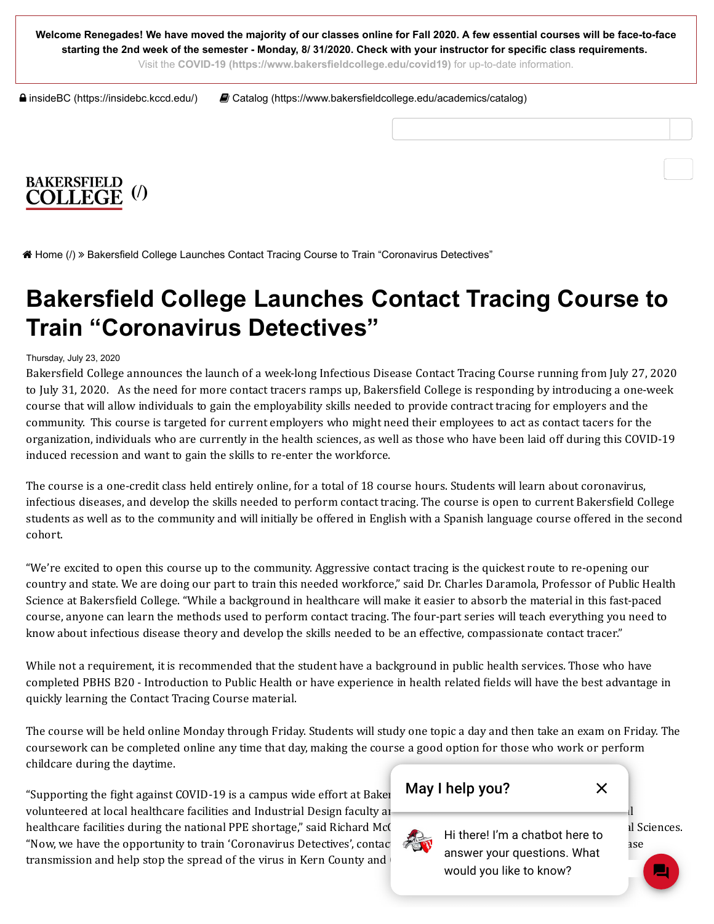**Welcome Renegades! We have moved the majority of our classes online for Fall 2020. A few essential courses will be face-to-face starting the 2nd week of the semester - Monday, 8/ 31/2020. Check with your instructor for specific class requirements.**

Visit the **[COVID-19 \(https://www.bakersfieldcollege.edu/covid19\)](https://www.bakersfieldcollege.edu/covid19)** for up-to-date information.

 [insideBC \(https://insidebc.kccd.edu/\)](https://insidebc.kccd.edu/)  [Catalog \(https://www.bakersfieldcollege.edu/academics/catalog\)](https://www.bakersfieldcollege.edu/academics/catalog)



 [Home \(/\)](https://www.bakersfieldcollege.edu/) Bakersfield College Launches Contact Tracing Course to Train "Coronavirus Detectives"

# **Bakersfield College Launches Contact Tracing Course to Train "Coronavirus Detectives"**

#### Thursday, July 23, 2020

Bakersield College announces the launch of a week-long Infectious Disease Contact Tracing Course running from July 27, 2020 to July 31, 2020. As the need for more contact tracers ramps up, Bakersield College is responding by introducing a one-week course that will allow individuals to gain the employability skills needed to provide contract tracing for employers and the community. This course is targeted for current employers who might need their employees to act as contact tacers for the organization, individuals who are currently in the health sciences, as well as those who have been laid off during this COVID-19 induced recession and want to gain the skills to re-enter the workforce.

The course is a one-credit class held entirely online, for a total of 18 course hours. Students will learn about coronavirus, infectious diseases, and develop the skills needed to perform contact tracing. The course is open to current Bakersield College students as well as to the community and will initially be offered in English with a Spanish language course offered in the second cohort.

"We're excited to open this course up to the community. Aggressive contact tracing is the quickest route to re-opening our country and state. We are doing our part to train this needed workforce," said Dr. Charles Daramola, Professor of Public Health Science at Bakersield College. "While a background in healthcare will make it easier to absorb the material in this fast-paced course, anyone can learn the methods used to perform contact tracing. The four-part series will teach everything you need to know about infectious disease theory and develop the skills needed to be an effective, compassionate contact tracer."

While not a requirement, it is recommended that the student have a background in public health services. Those who have completed PBHS B20 - Introduction to Public Health or have experience in health related ields will have the best advantage in quickly learning the Contact Tracing Course material.

The course will be held online Monday through Friday. Students will study one topic a day and then take an exam on Friday. The coursework can be completed online any time that day, making the course a good option for those who work or perform childcare during the daytime.

"Supporting the fight against COVID-19 is a campus wide effort at Bakersield **College Prome College. A** volunteered at local healthcare facilities and Industrial Design faculty and students contained for use  $\frac{d}{dt}$ healthcare facilities during the national PPE shortage," said Richard McCrow, Dean of Instruction, Beinger and Sciences. "Now, we have the opportunity to train 'Coronavirus Detectives', contact the chain of the chain of the disease transmission and help stop the spread of the virus in Kern County and



would you like to know?